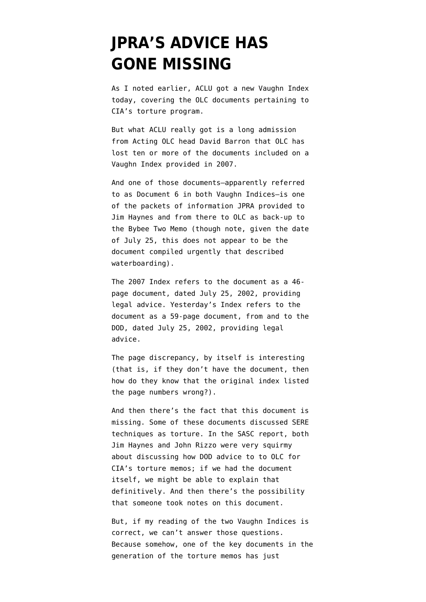## **[JPRA'S ADVICE HAS](https://www.emptywheel.net/2009/09/22/jpras-advice-has-gone-missing/) [GONE MISSING](https://www.emptywheel.net/2009/09/22/jpras-advice-has-gone-missing/)**

As I [noted earlier,](http://emptywheel.firedoglake.com/2009/09/22/cias-latest-vaughn-declarations-working-thread/) ACLU got a new [Vaughn Index](http://www.aclu.org/safefree/torture/41093lgl20090921.html) today, covering the OLC documents pertaining to CIA's torture program.

But what ACLU really got is a long [admission](http://www.aclu.org/safefree/torture/41089lgl20090921.html) from Acting OLC head David Barron that OLC has lost ten or more of the documents included on a [Vaughn Index provided in 2007](http://static1.firedoglake.com/28/files//2009/09/20070302-aclu-3rd-mpsj-olc-vaughn-181-docs.pdf).

And one of those documents–apparently referred to as Document 6 in both Vaughn Indices–is one of the packets of information JPRA provided to Jim Haynes and from there to OLC as back-up to the Bybee Two Memo (though note, given the date of July 25, this does not appear to be the document compiled urgently that described waterboarding).

The 2007 Index refers to the document as a 46 page document, dated July 25, 2002, providing legal advice. Yesterday's Index refers to the document as a 59-page document, from and to the DOD, dated July 25, 2002, providing legal advice.

The page discrepancy, by itself is interesting (that is, if they don't have the document, then how do they know that the original index listed the page numbers wrong?).

And then there's the fact that this document is missing. Some of these documents discussed SERE techniques as torture. In the SASC report, both Jim Haynes and John Rizzo were very squirmy about discussing how DOD advice to to OLC for CIA's torture memos; if we had the document itself, we might be able to explain that definitively. And then there's the possibility that someone took notes on this document.

But, if my reading of the two Vaughn Indices is correct, we can't answer those questions. Because somehow, one of the key documents in the generation of the torture memos has just